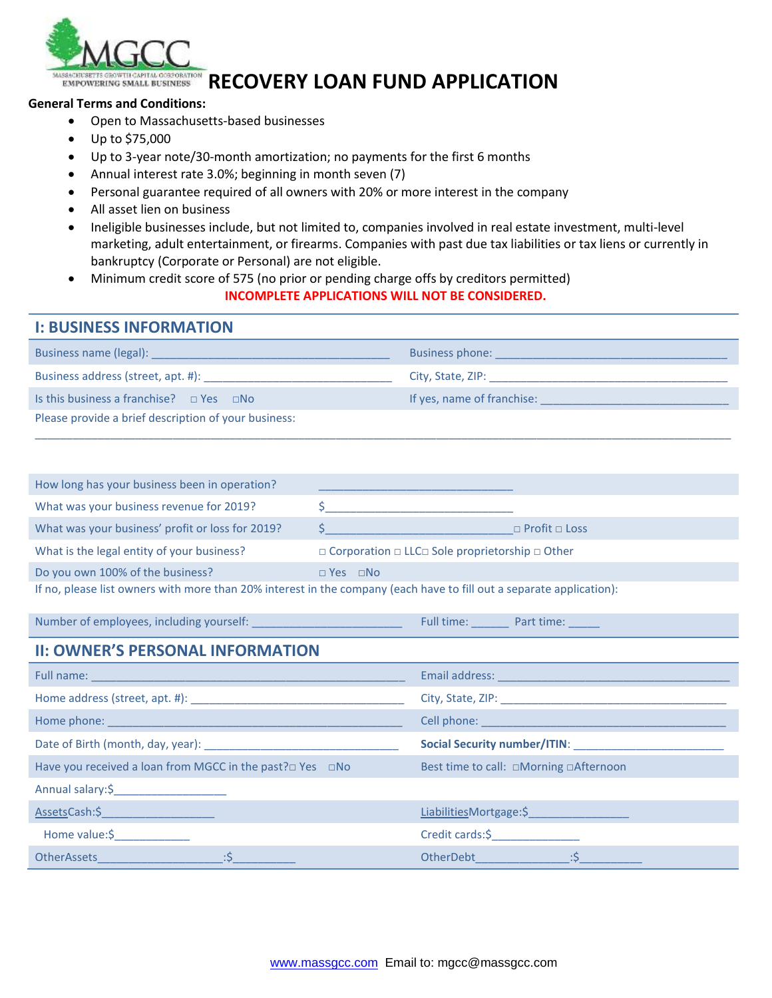

# **RECOVER AND THE CONSTRUCTION OF ORATOR RECOVERY LOAN FUND APPLICATION**

#### **General Terms and Conditions:**

- Open to Massachusetts-based businesses
- Up to \$75,000
- Up to 3-year note/30-month amortization; no payments for the first 6 months
- Annual interest rate 3.0%; beginning in month seven (7)
- Personal guarantee required of all owners with 20% or more interest in the company
- All asset lien on business
- Ineligible businesses include, but not limited to, companies involved in real estate investment, multi-level marketing, adult entertainment, or firearms. Companies with past due tax liabilities or tax liens or currently in bankruptcy (Corporate or Personal) are not eligible.
- Minimum credit score of 575 (no prior or pending charge offs by creditors permitted) **INCOMPLETE APPLICATIONS WILL NOT BE CONSIDERED.**

# **I: BUSINESS INFORMATION** Business name (legal): \_\_\_\_\_\_\_\_\_\_\_\_\_\_\_\_\_\_\_\_\_\_\_\_\_\_\_\_\_\_\_\_\_\_\_\_\_\_ Business phone: \_\_\_\_\_\_\_\_\_\_\_\_\_\_\_\_\_\_\_\_\_\_\_\_\_\_\_\_\_\_\_\_\_\_\_\_\_ Business address (street, apt. #): <br>
Business address (street, apt. #):  $\overline{a}$  and  $\overline{b}$  and  $\overline{c}$  and  $\overline{c}$  and  $\overline{c}$  and  $\overline{c}$  and  $\overline{c}$  and  $\overline{c}$  and  $\overline{a}$  and  $\overline{a}$  and  $\overline{a}$  and  $\overline{a}$ Is this business a franchise?  $□$  Yes  $□$ No If yes, name of franchise: Please provide a brief description of your business: \_\_\_\_\_\_\_\_\_\_\_\_\_\_\_\_\_\_\_\_\_\_\_\_\_\_\_\_\_\_\_\_\_\_\_\_\_\_\_\_\_\_\_\_\_\_\_\_\_\_\_\_\_\_\_\_\_\_\_\_\_\_\_\_\_\_\_\_\_\_\_\_\_\_\_\_\_\_\_\_\_\_\_\_\_\_\_\_\_\_\_\_\_\_\_\_\_\_\_\_\_\_\_\_\_\_\_\_\_\_\_

| How long has your business been in operation?                                                                  |                                                                                                                      |
|----------------------------------------------------------------------------------------------------------------|----------------------------------------------------------------------------------------------------------------------|
| What was your business revenue for 2019?                                                                       |                                                                                                                      |
| What was your business' profit or loss for 2019?                                                               | $\Box$ Profit $\Box$ Loss                                                                                            |
| What is the legal entity of your business?                                                                     | $\Box$ Corporation $\Box$ LLC $\Box$ Sole proprietorship $\Box$ Other                                                |
| Do you own 100% of the business?                                                                               | $\Box$ Yes $\Box$ No                                                                                                 |
|                                                                                                                | If no, please list owners with more than 20% interest in the company (each have to fill out a separate application): |
| Number of employees, including yourself: Number of employees, including yourself:                              | Full time: Part time:                                                                                                |
| <b>II: OWNER'S PERSONAL INFORMATION</b>                                                                        |                                                                                                                      |
| Full name: Note: Note: Note: Note: Note: Note: Note: Note: Note: Note: Note: Note: Note: Note: Note: Note: Not | Email address:                                                                                                       |
|                                                                                                                |                                                                                                                      |

| Have you received a loan from MGCC in the past? $\square$ Yes $\square$ No | Best time to call: □Morning □Afternoon |
|----------------------------------------------------------------------------|----------------------------------------|
| Annual salary:\$_____________________                                      |                                        |
|                                                                            | LiabilitiesMortgage:\$                 |
| Home value: \$                                                             | Credit cards:\$                        |
|                                                                            |                                        |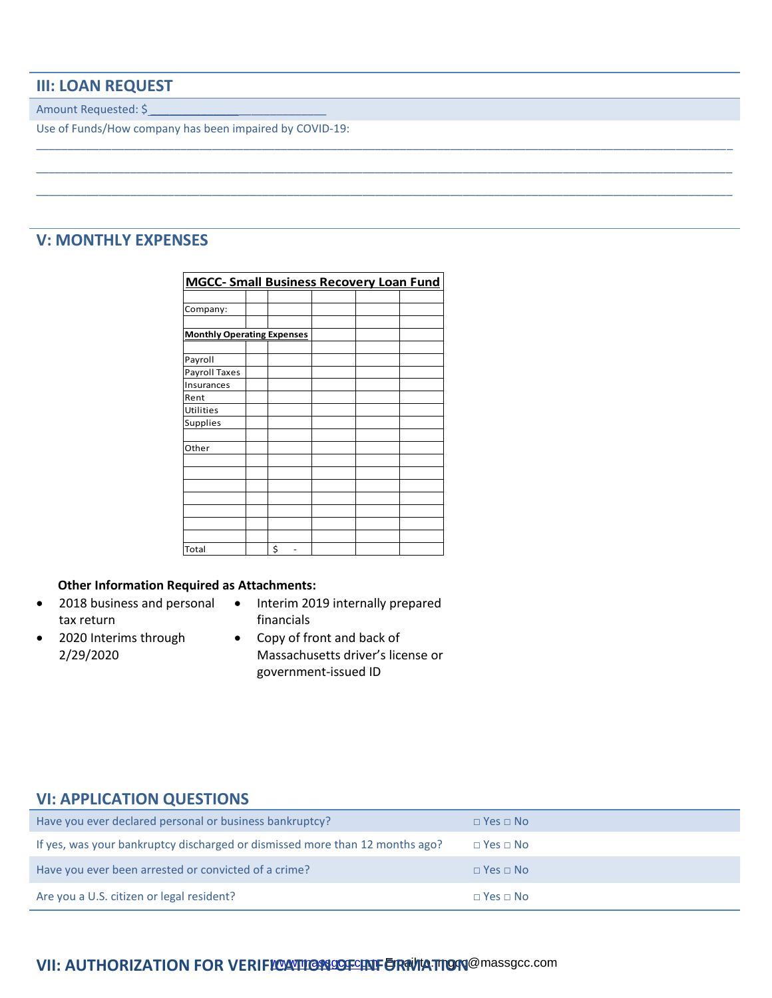## **III: LOAN REQUEST**

Amount Requested: \$\_

Use of Funds/How company has been impaired by COVID-19:

### **V: MONTHLY EXPENSES**

| <b>MGCC- Small Business Recovery Loan Fund</b> |  |    |  |  |  |
|------------------------------------------------|--|----|--|--|--|
|                                                |  |    |  |  |  |
| Company:                                       |  |    |  |  |  |
|                                                |  |    |  |  |  |
| <b>Monthly Operating Expenses</b>              |  |    |  |  |  |
|                                                |  |    |  |  |  |
| Payroll                                        |  |    |  |  |  |
| Payroll Taxes                                  |  |    |  |  |  |
| Insurances                                     |  |    |  |  |  |
| Rent                                           |  |    |  |  |  |
| Utilities                                      |  |    |  |  |  |
| Supplies                                       |  |    |  |  |  |
|                                                |  |    |  |  |  |
| Other                                          |  |    |  |  |  |
|                                                |  |    |  |  |  |
|                                                |  |    |  |  |  |
|                                                |  |    |  |  |  |
|                                                |  |    |  |  |  |
|                                                |  |    |  |  |  |
|                                                |  |    |  |  |  |
|                                                |  |    |  |  |  |
| Total                                          |  | \$ |  |  |  |

\_\_\_\_\_\_\_\_\_\_\_\_\_\_\_\_\_\_\_\_\_\_\_\_\_\_\_\_\_\_\_\_\_\_\_\_\_\_\_\_\_\_\_\_\_\_\_\_\_\_\_\_\_\_\_\_\_\_\_\_\_\_\_\_\_\_\_\_\_\_\_\_\_\_\_\_\_\_\_\_\_\_\_\_\_\_\_\_\_\_\_\_\_\_\_\_\_\_\_\_\_\_\_\_\_\_\_\_\_\_\_ \_\_\_\_\_\_\_\_\_\_\_\_\_\_\_\_\_\_\_\_\_\_\_\_\_\_\_\_\_\_\_\_\_\_\_\_\_\_\_\_\_\_\_\_\_\_\_\_\_\_\_\_\_\_\_\_\_\_\_\_\_\_\_\_\_\_\_\_\_\_\_\_\_\_\_\_\_\_\_\_\_\_\_\_\_\_\_\_\_\_\_\_\_\_\_\_\_\_\_\_\_\_\_\_\_\_\_\_\_\_\_ \_\_\_\_\_\_\_\_\_\_\_\_\_\_\_\_\_\_\_\_\_\_\_\_\_\_\_\_\_\_\_\_\_\_\_\_\_\_\_\_\_\_\_\_\_\_\_\_\_\_\_\_\_\_\_\_\_\_\_\_\_\_\_\_\_\_\_\_\_\_\_\_\_\_\_\_\_\_\_\_\_\_\_\_\_\_\_\_\_\_\_\_\_\_\_\_\_\_\_\_\_\_\_\_\_\_\_\_\_\_\_

#### **Other Information Required as Attachments:**

- tax return
- 2018 business and personal Interim 2019 internally prepared financials
- 2020 Interims through 2/29/2020
- Copy of front and back of Massachusetts driver's license or government-issued ID

#### **VI: APPLICATION QUESTIONS**

| Have you ever declared personal or business bankruptcy?                      | $\Box$ Yes $\Box$ No |
|------------------------------------------------------------------------------|----------------------|
| If yes, was your bankruptcy discharged or dismissed more than 12 months ago? | $\Box$ Yes $\Box$ No |
| Have you ever been arrested or convicted of a crime?                         | $\Box$ Yes $\Box$ No |
| Are you a U.S. citizen or legal resident?                                    | $\Box$ Yes $\Box$ No |

### $V$ II: AUTHORIZATION FOR VERIFICATIONG OF **INFORMATION**@massgcc.com